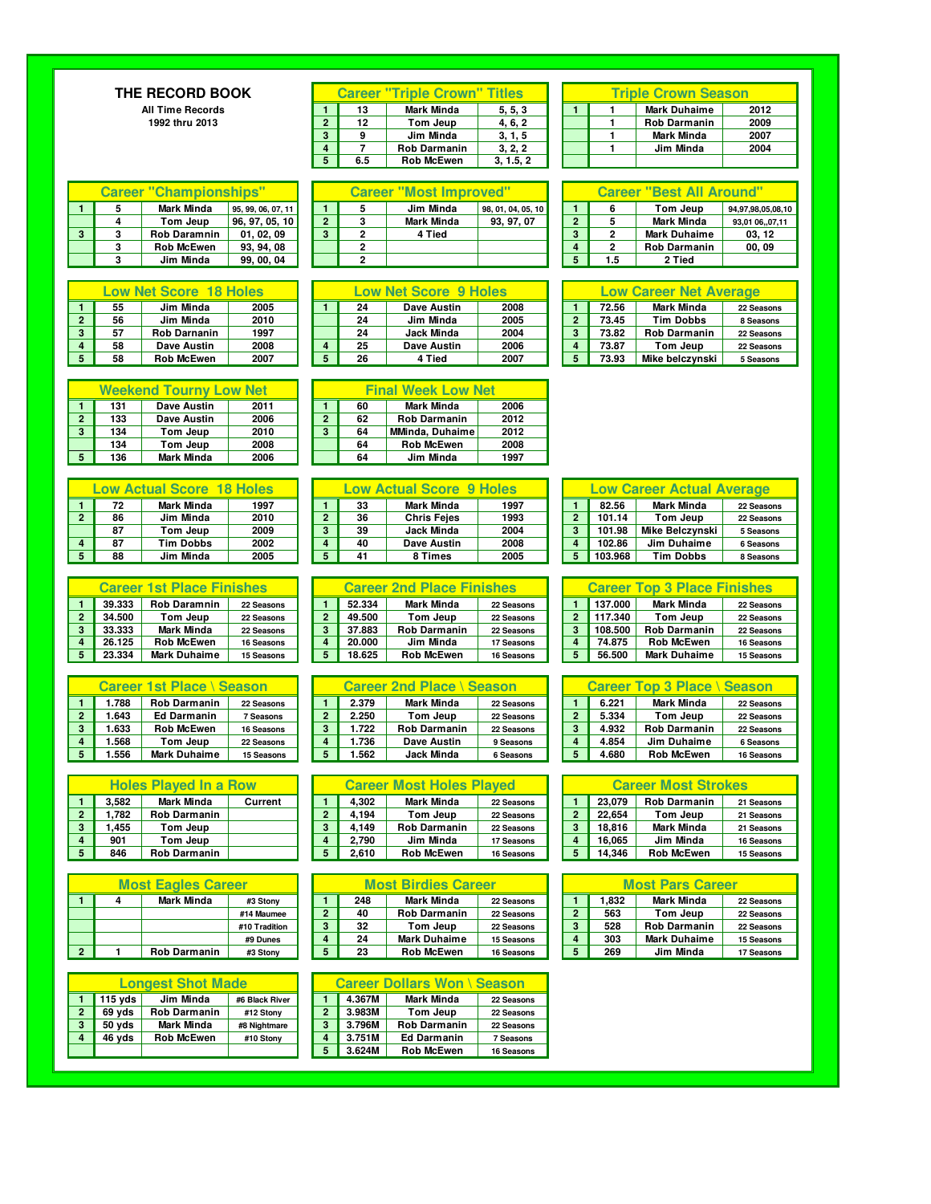## **THE RECORD BOOK**

**All Time Records 1992 thru 2013** 

|                |     | <b>Career "Triple Crown" Titles</b> |           | <b>Triple Crown Season</b> |  |                     |      |  |  |
|----------------|-----|-------------------------------------|-----------|----------------------------|--|---------------------|------|--|--|
|                | 13  | <b>Mark Minda</b>                   | 5, 5, 3   |                            |  | <b>Mark Duhaime</b> | 2012 |  |  |
| $\overline{2}$ | 12  | Tom Jeup                            | 4, 6, 2   |                            |  | <b>Rob Darmanin</b> | 2009 |  |  |
| 3              | 9   | Jim Minda                           | 3, 1, 5   |                            |  | <b>Mark Minda</b>   | 2007 |  |  |
| $\overline{a}$ |     | <b>Rob Darmanin</b>                 | 3, 2, 2   |                            |  | Jim Minda           | 2004 |  |  |
| 5              | 6.5 | <b>Rob McEwen</b>                   | 3, 1.5, 2 |                            |  |                     |      |  |  |

| <b>Triple Crown Season</b> |                     |      |  |  |  |  |  |  |
|----------------------------|---------------------|------|--|--|--|--|--|--|
|                            | <b>Mark Duhaime</b> | 2012 |  |  |  |  |  |  |
|                            | <b>Rob Darmanin</b> | 2009 |  |  |  |  |  |  |
|                            | <b>Mark Minda</b>   | 2007 |  |  |  |  |  |  |
|                            | Jim Minda           | 2004 |  |  |  |  |  |  |
|                            |                     |      |  |  |  |  |  |  |

**2 5 Mark Minda** 93,01 06,,07,11<br> **3 2 Mark Duhaime 03, 12**<br> **4 2 Rob Darmanin 00, 09**<br> **5 1.5 2 Tied 3 Rob McEwen 93, 94, 08 2 4 2 Rob Darmanin 00, 09**

| <b>Career "Championships"</b> |  |                     |                     |  | <b>Career "Most Improved"</b> |  |                   |                    |  | <b>Career "Best A</b> |     |                  |  |
|-------------------------------|--|---------------------|---------------------|--|-------------------------------|--|-------------------|--------------------|--|-----------------------|-----|------------------|--|
|                               |  | <b>Mark Minda</b>   | 195, 99, 06, 07, 11 |  |                               |  | Jim Minda         | 98, 01, 04, 05, 10 |  |                       |     | Tom Jeı          |  |
|                               |  | Tom Jeup            | 96, 97, 05, 10      |  |                               |  | <b>Mark Minda</b> | 93.97.07           |  | $\sim$                |     | <b>Mark Min</b>  |  |
|                               |  | <b>Rob Daramnin</b> | 01, 02, 09          |  |                               |  | 4 Tied            |                    |  | $\bullet$             |     | <b>Mark Duha</b> |  |
|                               |  | <b>Rob McEwen</b>   | 93, 94, 08          |  |                               |  |                   |                    |  |                       |     | <b>Rob Darm</b>  |  |
|                               |  | Jim Minda           | 99, 00, 04          |  |                               |  |                   |                    |  |                       | 1.5 | 2 Tied           |  |

| <b>Low Net Score 18 Holes</b> |    |                     |      |  |  |  |  |  |  |
|-------------------------------|----|---------------------|------|--|--|--|--|--|--|
|                               | 55 | Jim Minda           | 2005 |  |  |  |  |  |  |
| $\overline{2}$                | 56 | Jim Minda           | 2010 |  |  |  |  |  |  |
| 3                             | 57 | <b>Rob Darnanin</b> | 1997 |  |  |  |  |  |  |
| 4                             | 58 | <b>Dave Austin</b>  | 2008 |  |  |  |  |  |  |
| 5                             | 58 | <b>Rob McEwen</b>   | 2007 |  |  |  |  |  |  |

|              |     | <b>Weekend Tourny Low Net</b> |      |  |                |    | <b>Final Week Low Net</b> |      |  |
|--------------|-----|-------------------------------|------|--|----------------|----|---------------------------|------|--|
|              | 131 | Dave Austin                   | 2011 |  |                | 60 | <b>Mark Minda</b>         | 2006 |  |
| $\mathbf{2}$ | 133 | <b>Dave Austin</b>            | 2006 |  | $\overline{2}$ | 62 | <b>Rob Darmanin</b>       | 2012 |  |
| 3            | 134 | Tom Jeup                      | 2010 |  | 3              | 64 | <b>MMinda, Duhaime</b>    | 2012 |  |
|              | 134 | 2008<br>Tom Jeup              |      |  |                | 64 | <b>Rob McEwen</b>         | 2008 |  |
|              | 126 | Mark Minda                    | 2006 |  |                | GЛ | lim Minda                 | 1007 |  |

| <b>Low Actual Score 18 Holes</b> |    |                   |      |  |  |  |  |  |  |
|----------------------------------|----|-------------------|------|--|--|--|--|--|--|
|                                  | 72 | <b>Mark Minda</b> | 1997 |  |  |  |  |  |  |
| $\overline{2}$                   | 86 | Jim Minda         | 2010 |  |  |  |  |  |  |
|                                  | 87 | Tom Jeup          | 2009 |  |  |  |  |  |  |
| 4                                | 87 | <b>Tim Dobbs</b>  | 2002 |  |  |  |  |  |  |
| 5                                | 88 | Jim Minda         | 2005 |  |  |  |  |  |  |

|                | <b>Career 1st Place Finishes</b> |                     |            |  |  |  |  |  |  |  |
|----------------|----------------------------------|---------------------|------------|--|--|--|--|--|--|--|
| 1              | 39.333                           | <b>Rob Daramnin</b> | 22 Seasons |  |  |  |  |  |  |  |
| $\overline{2}$ | 34.500                           | Tom Jeup            | 22 Seasons |  |  |  |  |  |  |  |
| 3              | 33.333                           | <b>Mark Minda</b>   | 22 Seasons |  |  |  |  |  |  |  |
| 4              | 26.125                           | <b>Rob McEwen</b>   | 16 Seasons |  |  |  |  |  |  |  |
| 5              | 23.334                           | <b>Mark Duhaime</b> | 15 Seasons |  |  |  |  |  |  |  |

|                | <b>Career 1st Place \ Season</b> |                     |            |  |  |  |  |  |  |  |
|----------------|----------------------------------|---------------------|------------|--|--|--|--|--|--|--|
| 1              | 1.788                            | <b>Rob Darmanin</b> | 22 Seasons |  |  |  |  |  |  |  |
| $\overline{2}$ | 1.643                            | <b>Ed Darmanin</b>  | 7 Seasons  |  |  |  |  |  |  |  |
| 3              | 1.633                            | <b>Rob McEwen</b>   | 16 Seasons |  |  |  |  |  |  |  |
| 4              | 1.568                            | Tom Jeup            | 22 Seasons |  |  |  |  |  |  |  |
| 5              | 1.556                            | <b>Mark Duhaime</b> | 15 Seasons |  |  |  |  |  |  |  |

| <b>Holes Played In a Row</b> |       |                     |         |  |  |  |  |  |  |
|------------------------------|-------|---------------------|---------|--|--|--|--|--|--|
|                              | 3.582 | <b>Mark Minda</b>   | Current |  |  |  |  |  |  |
| $\overline{2}$               | 1.782 | <b>Rob Darmanin</b> |         |  |  |  |  |  |  |
| 3                            | 1,455 | Tom Jeup            |         |  |  |  |  |  |  |
| 4                            | 901   | Tom Jeup            |         |  |  |  |  |  |  |
|                              | 846   | <b>Rob Darmanin</b> |         |  |  |  |  |  |  |

| <b>Most Eagles Career</b> |  |                     |               |  |  |  |  |  |  |
|---------------------------|--|---------------------|---------------|--|--|--|--|--|--|
|                           |  | <b>Mark Minda</b>   | #3 Stony      |  |  |  |  |  |  |
|                           |  |                     | #14 Maumee    |  |  |  |  |  |  |
|                           |  |                     | #10 Tradition |  |  |  |  |  |  |
|                           |  |                     | #9 Dunes      |  |  |  |  |  |  |
| $\overline{2}$            |  | <b>Rob Darmanin</b> | #3 Stony      |  |  |  |  |  |  |

|                | <b>Longest Shot Made</b> |                     |                |  |  |  |  |  |  |
|----------------|--------------------------|---------------------|----------------|--|--|--|--|--|--|
|                | $115$ yds                | Jim Minda           | #6 Black River |  |  |  |  |  |  |
| $\overline{2}$ | 69 yds                   | <b>Rob Darmanin</b> | #12 Stony      |  |  |  |  |  |  |
| з              | 50 yds                   | <b>Mark Minda</b>   | #8 Nightmare   |  |  |  |  |  |  |
|                | 46 yds                   | <b>Rob McEwen</b>   | #10 Stony      |  |  |  |  |  |  |
|                |                          |                     |                |  |  |  |  |  |  |

| "Championships"<br><b>Career</b> |  |                     |                    |  | <b>Career</b><br>"Most Improved" |  |            |                    |  | "Best All Around"<br><b>Career</b> |   |                     |                   |  |
|----------------------------------|--|---------------------|--------------------|--|----------------------------------|--|------------|--------------------|--|------------------------------------|---|---------------------|-------------------|--|
|                                  |  | Mark Minda          | 95, 99, 06, 07, 11 |  |                                  |  | Jim Minda  | 98, 01, 04, 05, 10 |  |                                    |   | Tom Jeup            | 94,97,98,05,08,10 |  |
|                                  |  | Tom Jeup            | 96.97.05.10        |  |                                  |  | Mark Minda | 93.97.07           |  | $\sim$                             |   | Mark Minda          | 93.01 0607.11     |  |
|                                  |  | <b>Rob Daramnin</b> | 01.02.09           |  |                                  |  | 4 Tied     |                    |  | ◠                                  | c | <b>Mark Duhaime</b> | 03.12             |  |
|                                  |  | <b>Rob McEwen</b>   | 93.94.08           |  |                                  |  |            |                    |  |                                    | ີ | <b>Rob Darmanin</b> | 00, 09            |  |
|                                  |  | .lim Minda          | 99 00 04           |  |                                  |  |            |                    |  |                                    |   | 2 Tied              |                   |  |

| <b>Low Net Score 18 Holes</b> |                     |      |  |    | <b>Low Net Score 9 Holes</b> |      | <b>Low Career Net Average</b> |       |                     |            |
|-------------------------------|---------------------|------|--|----|------------------------------|------|-------------------------------|-------|---------------------|------------|
| 55                            | Jim Minda           | 2005 |  | 24 | Dave Austin                  | 2008 |                               | 72.56 | <b>Mark Minda</b>   | 22 Seasons |
| 56                            | Jim Minda           | 2010 |  | 24 | Jim Minda                    | 2005 |                               | 73.45 | <b>Tim Dobbs</b>    | 8 Seasons  |
| 57                            | <b>Rob Darnanin</b> | 1997 |  | 24 | <b>Jack Minda</b>            | 2004 |                               | 73.82 | <b>Rob Darmanin</b> | 22 Seasons |
| 58                            | Dave Austin         | 2008 |  | 25 | Dave Austin                  | 2006 |                               | 73.87 | Tom Jeup            | 22 Seasons |
| 58                            | <b>Rob McEwen</b>   | 2007 |  | 26 | 4 Tied                       | 2007 |                               | 73.93 | Mike belczvnski     | 5 Seasons  |

|                |     | <b>Weekend Tourny Low Net</b> |      |   |    | <b>Final Week Low Net</b> |      |
|----------------|-----|-------------------------------|------|---|----|---------------------------|------|
|                | 131 | Dave Austin                   | 2011 |   | 60 | Mark Minda                | 2006 |
| $\overline{2}$ | 133 | Dave Austin                   | 2006 | 2 | 62 | <b>Rob Darmanin</b>       | 2012 |
| 3              | 134 | Tom Jeup                      | 2010 | 3 | 64 | MMinda, Duhaime           | 2012 |
|                | 134 | Tom Jeup                      | 2008 |   | 64 | <b>Rob McEwen</b>         | 2008 |
| 5              | 136 | <b>Mark Minda</b>             | 2006 |   | 64 | Jim Minda                 | 1997 |

|    | <b>Low Actual Score</b> | <b>18 Holes</b> | <b>Low Actual Score 9 Holes</b> |    |                    |      |  |  |         | Low Career Actual Average |            |
|----|-------------------------|-----------------|---------------------------------|----|--------------------|------|--|--|---------|---------------------------|------------|
| 72 | Mark Minda              | 1997            |                                 | 33 | <b>Mark Minda</b>  | 1997 |  |  | 82.56   | Mark Minda                | 22 Seasons |
| 86 | Jim Minda               | 2010            | ≘                               | 36 | <b>Chris Feies</b> | 1993 |  |  | 101.14  | Tom Jeup                  | 22 Seasons |
| 87 | Tom Jeup                | 2009            |                                 | 39 | <b>Jack Minda</b>  | 2004 |  |  | 101.98  | <b>Mike Belczvnski</b>    | 5 Seasons  |
| 87 | <b>Tim Dobbs</b>        | 2002            |                                 | 40 | Dave Austin        | 2008 |  |  | 102.86  | Jim Duhaime               | 6 Seasons  |
| 88 | Jim Minda               | 2005            |                                 | 41 | 8 Times            | 2005 |  |  | 103.968 | <b>Tim Dobbs</b>          | 8 Seasons  |

|        | <b>Career 1st Place Finishes</b> |            | <b>Career 2nd Place Finishes</b> |        |                     |            |  | <b>Career Top 3 Place Finishes</b> |         |                     |            |  |  |
|--------|----------------------------------|------------|----------------------------------|--------|---------------------|------------|--|------------------------------------|---------|---------------------|------------|--|--|
| 39.333 | <b>Rob Daramnin</b>              | 22 Seasons |                                  | 52.334 | <b>Mark Minda</b>   | 22 Seasons |  |                                    | 137.000 | <b>Mark Minda</b>   | 22 Seasons |  |  |
| 34.500 | Tom Jeup                         | 22 Seasons | ◠                                | 49.500 | Tom Jeup            | 22 Seasons |  |                                    | 117.340 | Tom Jeup            | 22 Seasons |  |  |
| 33.333 | Mark Minda                       | 22 Seasons | ≏                                | 37.883 | <b>Rob Darmanin</b> | 22 Seasons |  |                                    | 108.500 | <b>Rob Darmanin</b> | 22 Seasons |  |  |
| 26.125 | <b>Rob McEwen</b>                | 16 Seasons |                                  | 20,000 | Jim Minda           | 17 Seasons |  |                                    | 74.875  | <b>Rob McEwen</b>   | 16 Seasons |  |  |
| 23.334 | <b>Mark Duhaime</b>              | 15 Seasons | 5                                | 18.625 | <b>Rob McEwen</b>   | 16 Seasons |  |                                    | 56.500  | <b>Mark Duhaime</b> | 15 Seasons |  |  |

|      | Career 1st Place \ Season |            | Career 2nd Place \ Season |       |                     |            |  |  | Career Top 3 Place ∖ Season |                     |            |  |  |
|------|---------------------------|------------|---------------------------|-------|---------------------|------------|--|--|-----------------------------|---------------------|------------|--|--|
| .788 | <b>Rob Darmanin</b>       | 22 Seasons |                           | 2.379 | Mark Minda          | 22 Seasons |  |  | 6.221                       | <b>Mark Minda</b>   | 22 Seasons |  |  |
| .643 | Ed Darmanin               | 7 Seasons  | ≘                         | 2.250 | Tom Jeup            | 22 Seasons |  |  | 5.334                       | Tom Jeup            | 22 Seasons |  |  |
| .633 | <b>Rob McEwen</b>         | 16 Seasons | ≏                         | .722  | <b>Rob Darmanin</b> | 22 Seasons |  |  | 4.932                       | <b>Rob Darmanin</b> | 22 Seasons |  |  |
| .568 | Tom Jeup                  | 22 Seasons |                           | .736  | Dave Austin         | 9 Seasons  |  |  | 4.854                       | Jim Duhaime         | 6 Seasons  |  |  |
| .556 | <b>Mark Duhaime</b>       | 15 Seasons |                           | .562  | Jack Minda          | 6 Seasons  |  |  | 4.680                       | <b>Rob McEwen</b>   | 16 Seasons |  |  |

| <b>Holes Played In a Row</b> |                     |         |   | <b>Career Most Holes Played</b> |       |                     |            |  |  | <b>Career Most Strokes</b> |                     |            |  |  |  |  |
|------------------------------|---------------------|---------|---|---------------------------------|-------|---------------------|------------|--|--|----------------------------|---------------------|------------|--|--|--|--|
| 3.582                        | <b>Mark Minda</b>   | Current |   |                                 | 4.302 | Mark Minda          | 22 Seasons |  |  | 23.079                     | <b>Rob Darmanin</b> | 21 Seasons |  |  |  |  |
| .782                         | <b>Rob Darmanin</b> |         | ິ |                                 | 4.194 | Tom Jeup            | 22 Seasons |  |  | 22.654                     | Tom Jeup            | 21 Seasons |  |  |  |  |
| .455                         | Tom Jeup            |         | 3 |                                 | 4.149 | <b>Rob Darmanin</b> | 22 Seasons |  |  | 18.816                     | <b>Mark Minda</b>   | 21 Seasons |  |  |  |  |
| 901                          | Tom Jeup            |         |   |                                 | 2.790 | Jim Minda           | 17 Seasons |  |  | 16.065                     | Jim Minda           | 16 Seasons |  |  |  |  |
| 846                          | <b>Rob Darmanin</b> |         | 5 |                                 | 2.610 | <b>Rob McEwen</b>   | 16 Seasons |  |  | 14.346                     | <b>Rob McEwen</b>   | 15 Seasons |  |  |  |  |

| <b>Most Eagles Career</b> |                     |               |           | <b>Most Birdies Career</b> |                     |            |  |  | <b>Most Pars Career</b> |                     |            |  |  |
|---------------------------|---------------------|---------------|-----------|----------------------------|---------------------|------------|--|--|-------------------------|---------------------|------------|--|--|
|                           | <b>Mark Minda</b>   | #3 Stony      |           | 248                        | <b>Mark Minda</b>   | 22 Seasons |  |  | 1.832                   | <b>Mark Minda</b>   | 22 Seasons |  |  |
|                           |                     | #14 Maumee    | ◠         | 40                         | <b>Rob Darmanin</b> | 22 Seasons |  |  | 563                     | Tom Jeup            | 22 Seasons |  |  |
|                           |                     | #10 Tradition | $\bullet$ | 32                         | Tom Jeup            | 22 Seasons |  |  | 528                     | <b>Rob Darmanin</b> | 22 Seasons |  |  |
|                           |                     | #9 Dunes      |           | 24                         | <b>Mark Duhaime</b> | 15 Seasons |  |  | 303                     | <b>Mark Duhaime</b> | 15 Seasons |  |  |
|                           | <b>Rob Darmanin</b> | #3 Stony      |           | 23                         | <b>Rob McEwen</b>   | 16 Seasons |  |  | 269                     | Jim Minda           | 17 Seasons |  |  |

|   |           | <b>Longest Shot Made</b> |                |   |        | <b>Career Dollars Won \ Season</b> |            |
|---|-----------|--------------------------|----------------|---|--------|------------------------------------|------------|
|   | $115$ vds | Jim Minda                | #6 Black River |   | 4.367M | <b>Mark Minda</b>                  | 22 Seasons |
|   | 69 yds    | <b>Rob Darmanin</b>      | #12 Stony      | 2 | 3.983M | Tom Jeup                           | 22 Seasons |
| 3 | 50 vds    | <b>Mark Minda</b>        | #8 Nightmare   | з | 3.796M | <b>Rob Darmanin</b>                | 22 Seasons |
| 4 | 46 yds    | <b>Rob McEwen</b>        | #10 Stony      |   | 3.751M | <b>Ed Darmanin</b>                 | 7 Seasons  |
|   |           |                          |                |   | 3.624M | <b>Rob McEwen</b>                  | 16 Seasons |

|    | MAIN MILIUM               | ∼∽   |  | ⊶  | unn minuu                       |      |   |         |                                  |            |
|----|---------------------------|------|--|----|---------------------------------|------|---|---------|----------------------------------|------------|
|    |                           |      |  |    |                                 |      |   |         |                                  |            |
|    | Low Actual Score 18 Holes |      |  |    | <b>Low Actual Score 9 Holes</b> |      |   |         | <b>Low Career Actual Average</b> |            |
| 72 | <b>Mark Minda</b>         | 1997 |  | 33 | <b>Mark Minda</b>               | 1997 |   | 82.56   | <b>Mark Minda</b>                | 22 Seasons |
| 86 | Jim Minda                 | 2010 |  | 36 | <b>Chris Feies</b>              | 1993 | , | 101.14  | Tom Jeup                         | 22 Seasons |
| 87 | Tom Jeup                  | 2009 |  | 39 | Jack Minda                      | 2004 | 3 | 101.98  | Mike Belczvnski                  | 5 Seasons  |
| 87 | <b>Tim Dobbs</b>          | 2002 |  | 40 | <b>Dave Austin</b>              | 2008 | 4 | 102.86  | Jim Duhaime                      | 6 Seasons  |
| 88 | Jim Minda                 | 2005 |  | 41 | 8 Times                         | 2005 | 5 | 103.968 | <b>Tim Dobbs</b>                 | 8 Seasons  |

| <b>Career Top 3 Place Finishes</b> |         |                     |            |  |  |  |  |  |  |  |  |
|------------------------------------|---------|---------------------|------------|--|--|--|--|--|--|--|--|
|                                    | 137.000 | <b>Mark Minda</b>   | 22 Seasons |  |  |  |  |  |  |  |  |
| $\overline{2}$                     | 117.340 | Tom Jeup            | 22 Seasons |  |  |  |  |  |  |  |  |
| 3                                  | 108.500 | <b>Rob Darmanin</b> | 22 Seasons |  |  |  |  |  |  |  |  |
| 4                                  | 74.875  | <b>Rob McEwen</b>   | 16 Seasons |  |  |  |  |  |  |  |  |
| 5                                  | 56.500  | <b>Mark Duhaime</b> | 15 Seasons |  |  |  |  |  |  |  |  |

|                | <b>Career Top 3 Place \ Season</b> |                     |            |  |  |  |  |  |  |  |  |
|----------------|------------------------------------|---------------------|------------|--|--|--|--|--|--|--|--|
|                | 6.221                              | <b>Mark Minda</b>   | 22 Seasons |  |  |  |  |  |  |  |  |
| $\overline{2}$ | 5.334                              | Tom Jeup            | 22 Seasons |  |  |  |  |  |  |  |  |
| 3              | 4.932                              | <b>Rob Darmanin</b> | 22 Seasons |  |  |  |  |  |  |  |  |
|                | 4.854                              | Jim Duhaime         | 6 Seasons  |  |  |  |  |  |  |  |  |
|                | 4.680                              | <b>Rob McEwen</b>   | 16 Seasons |  |  |  |  |  |  |  |  |

| <b>Career Most Strokes</b> |        |                     |            |  |  |  |  |  |  |  |
|----------------------------|--------|---------------------|------------|--|--|--|--|--|--|--|
|                            | 23.079 | <b>Rob Darmanin</b> | 21 Seasons |  |  |  |  |  |  |  |
| $\overline{2}$             | 22.654 | Tom Jeup            | 21 Seasons |  |  |  |  |  |  |  |
| 3                          | 18.816 | <b>Mark Minda</b>   | 21 Seasons |  |  |  |  |  |  |  |
| 4                          | 16.065 | Jim Minda           | 16 Seasons |  |  |  |  |  |  |  |
|                            | 14 346 | <b>Bob McEwen</b>   | 15 Conconc |  |  |  |  |  |  |  |

| <b>Most Pars Career</b> |       |                     |            |  |  |  |  |  |  |
|-------------------------|-------|---------------------|------------|--|--|--|--|--|--|
|                         | 1.832 | <b>Mark Minda</b>   | 22 Seasons |  |  |  |  |  |  |
| 2                       | 563   | Tom Jeup            | 22 Seasons |  |  |  |  |  |  |
| 3                       | 528   | <b>Rob Darmanin</b> | 22 Seasons |  |  |  |  |  |  |
|                         | 303   | <b>Mark Duhaime</b> | 15 Seasons |  |  |  |  |  |  |
| 5                       | 269   | Jim Minda           | 17 Seasons |  |  |  |  |  |  |